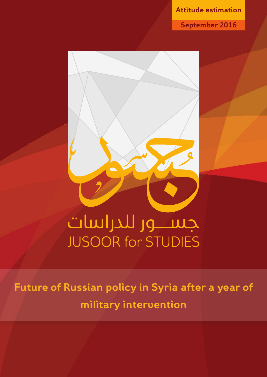**estimation Attitude**

**2016 September**



**Future of Russian policy in Syria after a year of intervention military**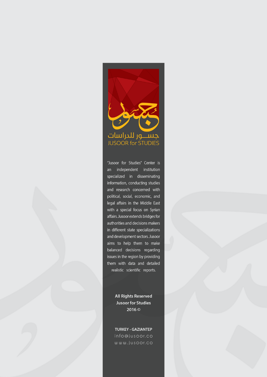

"Jusoor for Studies" Center is an independent institution specialized in disseminating information, conducting studies and research concerned with political, social, economic, and legal affairs in the Middle East with a special focus on Syrian affairs. Jusoor extends bridges for authorities and decisions makers in different state specializations and development sectors. Jusoor aims to help them to make balanced decisions regarding issues in the region by providing them with data and detailed realistic scientific reports.

> **All Rights Reserved Jusoor for Studies**  $2016@$

**TURKEY - GAZIANTEP** info@jusoor.co  $ww.$ jusoor.co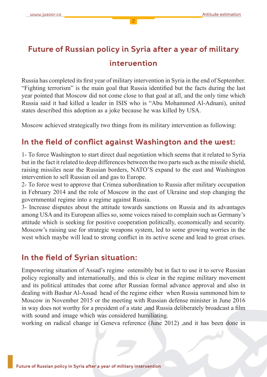# **Future of Russian policy in Syria after a year of military intervention**

Russia has completed its first year of military intervention in Syria in the end of September. "Fighting terrorism" is the main goal that Russia identified but the facts during the last year pointed that Moscow did not come close to that goal at all, and the only time which Russia said it had killed a leader in ISIS who is "Abu Mohammed Al-Adnani), united states described this adoption as a joke because he was killed by USA.

Moscow achieved strategically two things from its military intervention as following:

## In the field of conflict against Washington and the west:

1- To force Washington to start direct dual negotiation which seems that it related to Syria but in the fact it related to deep differences between the two parts such as the missile shield, raising missiles near the Russian borders, NATO'S expand to the east and Washington intervention to sell Russian oil and gas to Europe.

2- To force west to approve that Crimea subordination to Russia after military occupation in February 2014 and the role of Moscow in the east of Ukraine and stop changing the governmental regime into a regime against Russia.

3- Increase disputes about the attitude towards sanctions on Russia and its advantages among USA and its European allies so, some voices raised to complain such as Germany's attitude which is seeking for positive cooperation politically, economically and security. Moscow's raising use for strategic weapons system, led to some growing worries in the west which maybe will lead to strong conflict in its active scene and lead to great crises.

## In the field of Syrian situation:

Empowering situation of Assad's regime ostensibly but in fact to use it to serve Russian policy regionally and internationally, and this is clear in the regime military movement and its political attitudes that come after Russian formal advance approval and also in dealing with Bashar Al-Assad head of the regime either when Russia summoned him to Moscow in November 2015 or the meeting with Russian defense minister in June 2016 in way does not worthy for a president of a state , and Russia deliberately broadcast a film with sound and image which was considered humiliating.

working on radical change in Geneva reference (June 2012) and it has been done in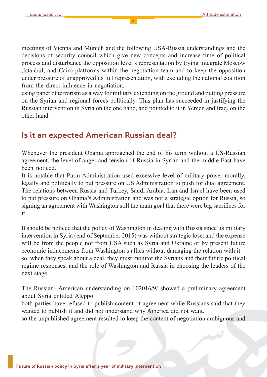meetings of Vienna and Munich and the following USA-Russia understandings and the decisions of security council which give new concepts and increase time of political process and disturbance the opposition level's representation by trying integrate Moscow Istanbul, and Cairo platforms within the negotiation team and to keep the opposition under pressure of unapproved its full representation, with excluding the national coalition from the direct influence in negotiation.

using paper of terrorism as a way for military extending on the ground and putting pressure on the Syrian and regional forces politically. This plan has succeeded in justifying the Russian intervention in Syria on the one hand, and pointed to it in Yemen and Iraq, on the other hand.

## **Is it an expected American Russian deal?**

Whenever the president Obama approached the end of his term without a US-Russian agreement, the level of anger and tension of Russia in Syrian and the middle East have been noticed

It is notable that Putin Administration used excessive level of military power morally, legally and politically to put pressure on US Administration to push for dual agreement. The relations between Russia and Turkey, Saudi Arabia, Iran and Israel have been used to put pressure on Obama's Administration and was not a strategic option for Russia, so signing an agreement with Washington still the main goal that there were big sacrifices for .it

It should be noticed that the policy of Washington in dealing with Russia since its military intervention in Syria (end of September 2015) was without strategic lose, and the expense will be from the people not from USA such as Syria and Ukraine or by present future economic inducements from Washington's allies without damaging the relation with it. so, when they speak about a deal, they must monitor the Syrians and their future political the regime responses, and the role of Washington and Russia in choosing the leaders of the next stage.

The Russian- American understanding on 102016/9/ showed a preliminary agreement about Syria entitled Aleppo.

both parties have refused to publish content of agreement while Russians said that they wanted to publish it and did not understand why America did not want.

so the unpublished agreement resulted to keep the content of negotiation ambiguous and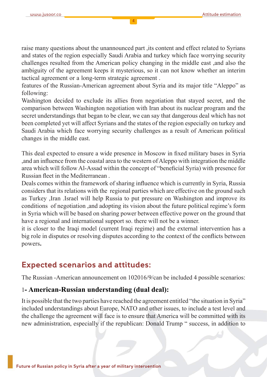raise many questions about the unannounced part its content and effect related to Syrians and states of the region especially Saudi Arabia and turkey which face worrying security challenges resulted from the American policy changing in the middle east, and also the ambiguity of the agreement keeps it mysterious, so it can not know whether an interim tactical agreement or a long-term strategic agreement.

features of the Russian-American agreement about Syria and its major title "Aleppo" as :following

Washington decided to exclude its allies from negotiation that stayed secret, and the comparison between Washington negotiation with Iran about its nuclear program and the secret understandings that began to be clear, we can say that dangerous deal which has not been completed yet will affect Syrians and the states of the region especially on turkey and Saudi Arabia which face worrying security challenges as a result of American political changes in the middle east.

This deal expected to ensure a wide presence in Moscow in fixed military bases in Syria and an influence from the coastal area to the western of Aleppo with integration the middle area which will follow Al-Assad within the concept of "beneficial Syria) with presence for Russian fleet in the Mediterranean.

Deals comes within the framework of sharing influence which is currently in Syria, Russia considers that its relations with the regional parties which are effective on the ground such as Turkey Jran January is improve its improve its and improve its and improve its conditions of negotiation, and adopting its vision about the future political regime's form in Syria which will be based on sharing power between effective power on the ground that have a regional and international support so, there will not be a winner.

it is closer to the Iraqi model (current Iraqi regime) and the external intervention has a big role in disputes or resolving disputes according to the context of the conflicts between **.**powers

## **Expected scenarios and attitudes:**

The Russian -American announcement on 102016/9/ can be included 4 possible scenarios:

#### **1- American-Russian understanding (dual deal):**

It is possible that the two parties have reached the agreement entitled "the situation in Syria" included understandings about Europe, NATO and other issues, to include a test level and the challenge the agreement will face is to ensure that America will be committed with its new administration, especially if the republican: Donald Trump " success, in addition to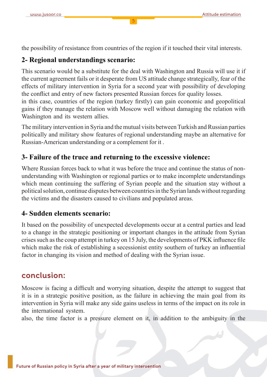the possibility of resistance from countries of the region if it touched their vital interests.

#### **2- Regional understandings scenario:**

This scenario would be a substitute for the deal with Washington and Russia will use it if the current agreement fails or it desperate from US attitude change strategically, fear of the effects of military intervention in Syria for a second year with possibility of developing the conflict and entry of new factors presented Russian forces for quality losses.

in this case, countries of the region (turkey firstly) can gain economic and geopolitical gains if they manage the relation with Moscow well without damaging the relation with Washington and its western allies.

The military intervention in Syria and the mutual visits between Turkish and Russian parties politically and military show features of regional understanding maybe an alternative for Russian-American understanding or a complement for it.

#### **3- Failure of the truce and returning to the excessive violence:**

understanding with Washington or regional parties or to make incomplete understandings Where Russian forces back to what it was before the truce and continue the status of nonwhich mean continuing the suffering of Syrian people and the situation stay without a political solution, continue disputes between countries in the Syrian lands without regarding the victims and the disasters caused to civilians and populated areas.

#### **4- Sudden elements scenario:**

It based on the possibility of unexpected developments occur at a central parties and lead to a change in the strategic positioning or important changes in the attitude from Syrian filter interval in fluence file influence file in turkey on 15 July, the developments of PKK influence file which make the risk of establishing a secessionist entity southern of turkey an influential factor in changing its vision and method of dealing with the Syrian issue.

## **:conclusion**

Moscow is facing a difficult and worrying situation, despite the attempt to suggest that it is in a strategic positive position, as the failure in achieving the main goal from its intervention in Syria will make any side gains useless in terms of the impact on its role in the international system.

also, the time factor is a pressure element on it, in addition to the ambiguity in the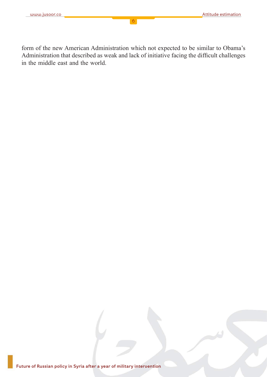form of the new American Administration which not expected to be similar to Obama's Administration that described as weak and lack of initiative facing the difficult challenges in the middle east and the world.